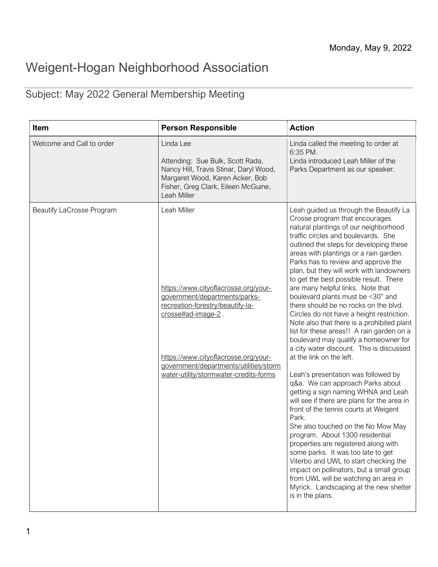## Weigent-Hogan Neighborhood Association

## Subject: May 2022 General Membership Meeting

| Item                             | <b>Person Responsible</b>                                                                                                                                                                                                                                                  | <b>Action</b>                                                                                                                                                                                                                                                                                                                                                                                                                                                                                                                                                                                                                                                                                                                                                                                                                                                                                                                                                                                                                                                                                                                                                                                                                                                                                                               |
|----------------------------------|----------------------------------------------------------------------------------------------------------------------------------------------------------------------------------------------------------------------------------------------------------------------------|-----------------------------------------------------------------------------------------------------------------------------------------------------------------------------------------------------------------------------------------------------------------------------------------------------------------------------------------------------------------------------------------------------------------------------------------------------------------------------------------------------------------------------------------------------------------------------------------------------------------------------------------------------------------------------------------------------------------------------------------------------------------------------------------------------------------------------------------------------------------------------------------------------------------------------------------------------------------------------------------------------------------------------------------------------------------------------------------------------------------------------------------------------------------------------------------------------------------------------------------------------------------------------------------------------------------------------|
| Welcome and Call to order        | Linda Lee<br>Attending: Sue Bulk, Scott Rada,<br>Nancy Hill, Travis Stinar, Daryl Wood,<br>Margaret Wood, Karen Acker, Bob<br>Fisher, Greg Clark, Eileen McGuine,<br>Leah Miller                                                                                           | Linda called the meeting to order at<br>6:35 PM.<br>Linda introduced Leah Miller of the<br>Parks Department as our speaker.                                                                                                                                                                                                                                                                                                                                                                                                                                                                                                                                                                                                                                                                                                                                                                                                                                                                                                                                                                                                                                                                                                                                                                                                 |
| <b>Beautify LaCrosse Program</b> | Leah Miller<br>https://www.cityoflacrosse.org/your-<br>government/departments/parks-<br>recreation-forestry/beautify-la-<br>crosse#ad-image-2.<br>https://www.cityoflacrosse.org/your-<br>government/departments/utilities/storm<br>water-utility/stormwater-credits-forms | Leah guided us through the Beautify La<br>Crosse program that encourages<br>natural plantings of our neighborhood<br>traffic circles and boulevards. She<br>outlined the steps for developing these<br>areas with plantings or a rain garden.<br>Parks has to review and approve the<br>plan, but they will work with landowners<br>to get the best possible result. There<br>are many helpful links. Note that<br>boulevard plants must be <30" and<br>there should be no rocks on the blvd.<br>Circles do not have a height restriction.<br>Note also that there is a prohibited plant<br>list for these areas!! A rain garden on a<br>boulevard may qualify a homeowner for<br>a city water discount. This is discussed<br>at the link on the left.<br>Leah's presentation was followed by<br>q&a. We can approach Parks about<br>getting a sign naming WHNA and Leah<br>will see if there are plans for the area in<br>front of the tennis courts at Weigent<br>Park.<br>She also touched on the No Mow May<br>program. About 1300 residential<br>properties are registered along with<br>some parks. It was too late to get<br>Viterbo and UWL to start checking the<br>impact on pollinators, but a small group<br>from UWL will be watching an area in<br>Myrick. Landscaping at the new shelter<br>is in the plans. |